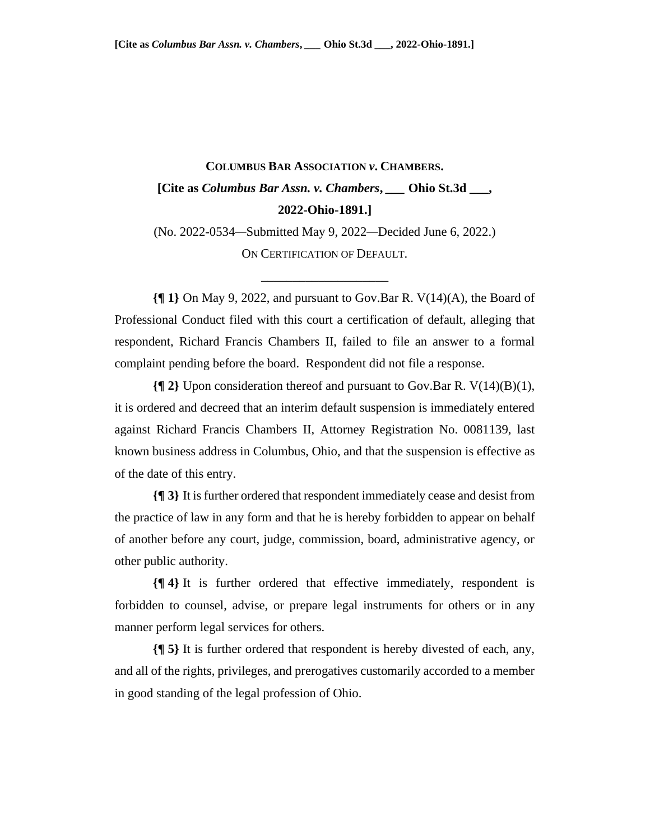## **COLUMBUS BAR ASSOCIATION** *v***. CHAMBERS. [Cite as** *Columbus Bar Assn. v. Chambers***,** *\_\_\_* **Ohio St.3d \_\_\_, 2022-Ohio-1891.]**

(No. 2022-0534*—*Submitted May 9, 2022*—*Decided June 6, 2022.) ON CERTIFICATION OF DEFAULT.

\_\_\_\_\_\_\_\_\_\_\_\_\_\_\_\_\_\_\_\_

**{¶ 1}** On May 9, 2022, and pursuant to Gov.Bar R. V(14)(A), the Board of Professional Conduct filed with this court a certification of default, alleging that respondent, Richard Francis Chambers II, failed to file an answer to a formal complaint pending before the board. Respondent did not file a response.

**{¶ 2}** Upon consideration thereof and pursuant to Gov.Bar R. V(14)(B)(1), it is ordered and decreed that an interim default suspension is immediately entered against Richard Francis Chambers II, Attorney Registration No. 0081139, last known business address in Columbus, Ohio, and that the suspension is effective as of the date of this entry.

**{¶ 3}** It is further ordered that respondent immediately cease and desist from the practice of law in any form and that he is hereby forbidden to appear on behalf of another before any court, judge, commission, board, administrative agency, or other public authority.

**{¶ 4}** It is further ordered that effective immediately, respondent is forbidden to counsel, advise, or prepare legal instruments for others or in any manner perform legal services for others.

**{¶ 5}** It is further ordered that respondent is hereby divested of each, any, and all of the rights, privileges, and prerogatives customarily accorded to a member in good standing of the legal profession of Ohio.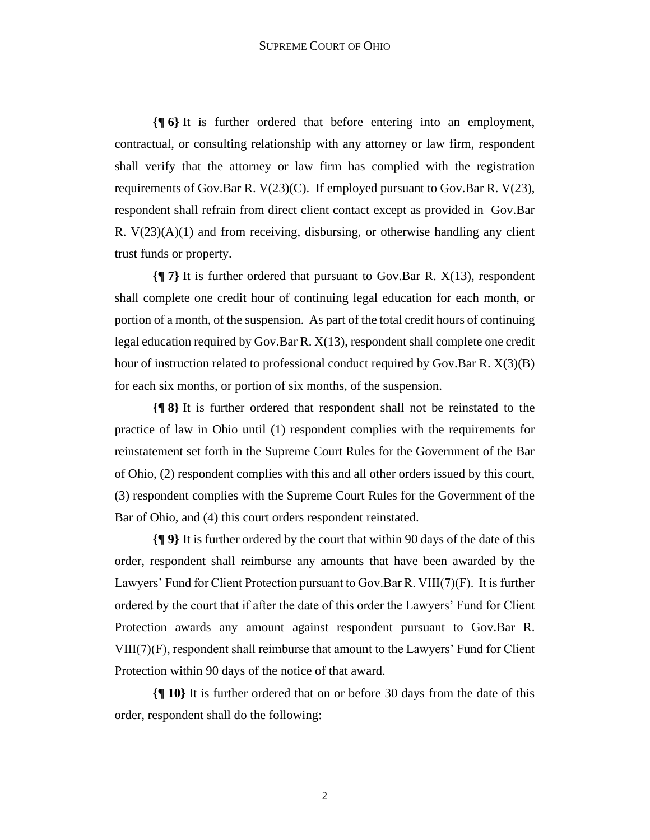**{¶ 6}** It is further ordered that before entering into an employment, contractual, or consulting relationship with any attorney or law firm, respondent shall verify that the attorney or law firm has complied with the registration requirements of Gov.Bar R. V(23)(C). If employed pursuant to Gov.Bar R. V(23), respondent shall refrain from direct client contact except as provided in Gov.Bar R.  $V(23)(A)(1)$  and from receiving, disbursing, or otherwise handling any client trust funds or property.

**{¶ 7}** It is further ordered that pursuant to Gov.Bar R. X(13), respondent shall complete one credit hour of continuing legal education for each month, or portion of a month, of the suspension. As part of the total credit hours of continuing legal education required by Gov.Bar R. X(13), respondent shall complete one credit hour of instruction related to professional conduct required by Gov.Bar R. X(3)(B) for each six months, or portion of six months, of the suspension.

**{¶ 8}** It is further ordered that respondent shall not be reinstated to the practice of law in Ohio until (1) respondent complies with the requirements for reinstatement set forth in the Supreme Court Rules for the Government of the Bar of Ohio, (2) respondent complies with this and all other orders issued by this court, (3) respondent complies with the Supreme Court Rules for the Government of the Bar of Ohio, and (4) this court orders respondent reinstated.

**{¶ 9}** It is further ordered by the court that within 90 days of the date of this order, respondent shall reimburse any amounts that have been awarded by the Lawyers' Fund for Client Protection pursuant to Gov.Bar R. VIII(7)(F). It is further ordered by the court that if after the date of this order the Lawyers' Fund for Client Protection awards any amount against respondent pursuant to Gov.Bar R. VIII(7)(F), respondent shall reimburse that amount to the Lawyers' Fund for Client Protection within 90 days of the notice of that award.

**{¶ 10}** It is further ordered that on or before 30 days from the date of this order, respondent shall do the following: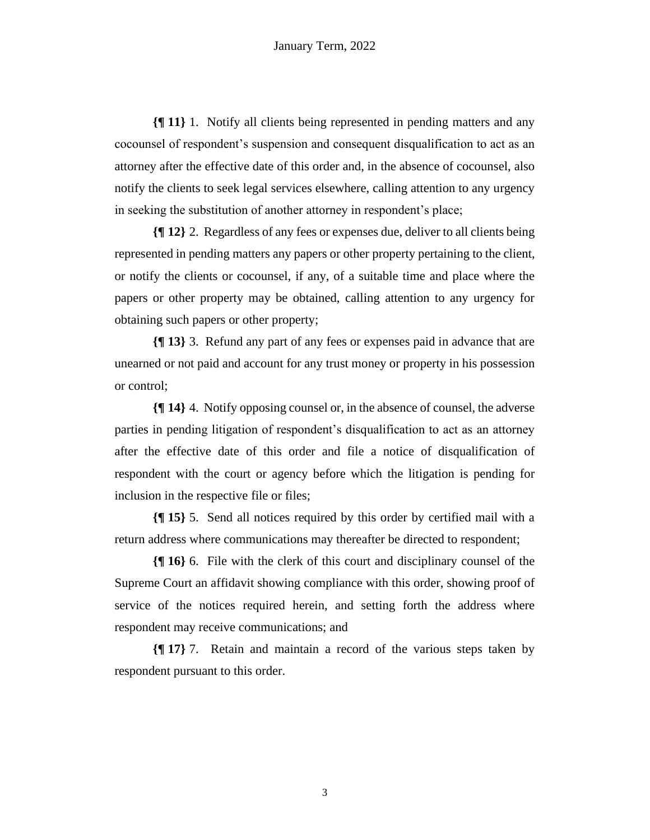**{¶ 11}** 1. Notify all clients being represented in pending matters and any cocounsel of respondent's suspension and consequent disqualification to act as an attorney after the effective date of this order and, in the absence of cocounsel, also notify the clients to seek legal services elsewhere, calling attention to any urgency in seeking the substitution of another attorney in respondent's place;

**{¶ 12}** 2. Regardless of any fees or expenses due, deliver to all clients being represented in pending matters any papers or other property pertaining to the client, or notify the clients or cocounsel, if any, of a suitable time and place where the papers or other property may be obtained, calling attention to any urgency for obtaining such papers or other property;

**{¶ 13}** 3. Refund any part of any fees or expenses paid in advance that are unearned or not paid and account for any trust money or property in his possession or control;

**{¶ 14}** 4. Notify opposing counsel or, in the absence of counsel, the adverse parties in pending litigation of respondent's disqualification to act as an attorney after the effective date of this order and file a notice of disqualification of respondent with the court or agency before which the litigation is pending for inclusion in the respective file or files;

**{¶ 15}** 5. Send all notices required by this order by certified mail with a return address where communications may thereafter be directed to respondent;

**{¶ 16}** 6. File with the clerk of this court and disciplinary counsel of the Supreme Court an affidavit showing compliance with this order, showing proof of service of the notices required herein, and setting forth the address where respondent may receive communications; and

**{¶ 17}** 7. Retain and maintain a record of the various steps taken by respondent pursuant to this order.